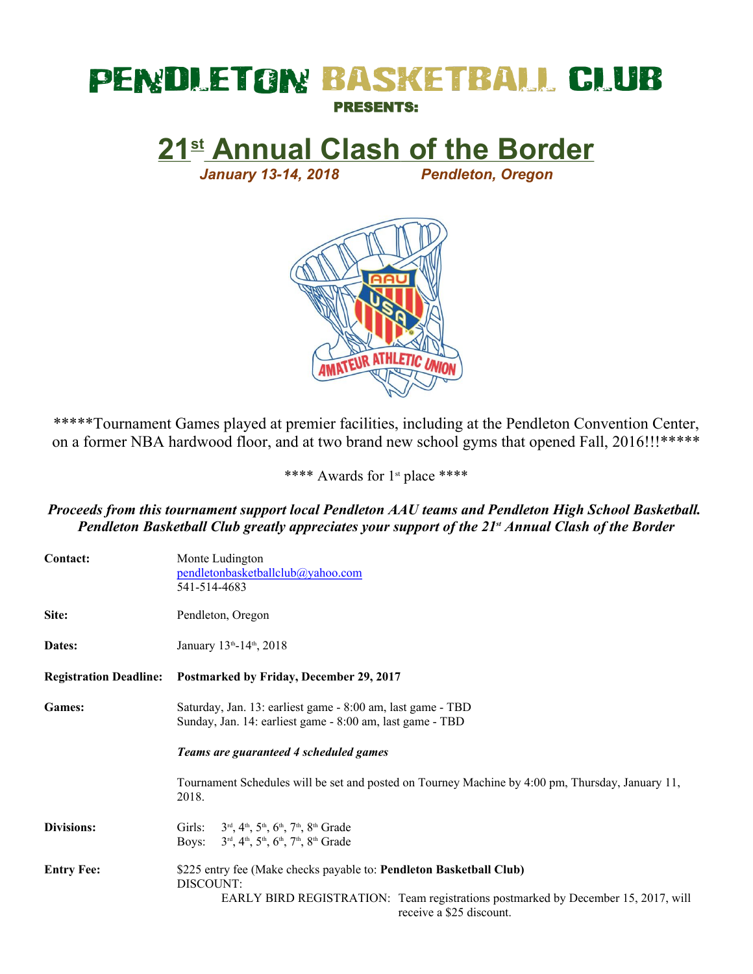## **PENDLETON BASKETBALL CLUB** PRESENTS:

**21st Annual Clash of the Border**

*January 13-14, 2018 Pendleton, Oregon*



\*\*\*\*\*Tournament Games played at premier facilities, including at the Pendleton Convention Center, on a former NBA hardwood floor, and at two brand new school gyms that opened Fall, 2016!!!\*\*\*\*\*

\*\*\*\* Awards for 1<sup>st</sup> place \*\*\*\*

## *Proceeds from this tournament support local Pendleton AAU teams and Pendleton High School Basketball. Pendleton Basketball Club greatly appreciates your support of the 21st Annual Clash of the Border*

| Contact:                      | Monte Ludington<br>pendletonbasketballclub@yahoo.com<br>541-514-4683                                                                                                                              |  |  |  |  |  |  |
|-------------------------------|---------------------------------------------------------------------------------------------------------------------------------------------------------------------------------------------------|--|--|--|--|--|--|
| Site:                         | Pendleton, Oregon                                                                                                                                                                                 |  |  |  |  |  |  |
| Dates:                        | January 13th-14th, 2018                                                                                                                                                                           |  |  |  |  |  |  |
| <b>Registration Deadline:</b> | Postmarked by Friday, December 29, 2017                                                                                                                                                           |  |  |  |  |  |  |
| <b>Games:</b>                 | Saturday, Jan. 13: earliest game - 8:00 am, last game - TBD<br>Sunday, Jan. 14: earliest game - 8:00 am, last game - TBD                                                                          |  |  |  |  |  |  |
|                               | Teams are guaranteed 4 scheduled games                                                                                                                                                            |  |  |  |  |  |  |
|                               | Tournament Schedules will be set and posted on Tourney Machine by 4:00 pm, Thursday, January 11,<br>2018.                                                                                         |  |  |  |  |  |  |
| Divisions:                    | Girls: $3^{rd}$ , $4^{th}$ , $5^{th}$ , $6^{th}$ , $7^{th}$ , $8^{th}$ Grade<br>Boys: $3rd, 4th, 5th, 6th, 7th, 8th Grade$                                                                        |  |  |  |  |  |  |
| <b>Entry Fee:</b>             | \$225 entry fee (Make checks payable to: Pendleton Basketball Club)<br>DISCOUNT:<br>EARLY BIRD REGISTRATION: Team registrations postmarked by December 15, 2017, will<br>receive a \$25 discount. |  |  |  |  |  |  |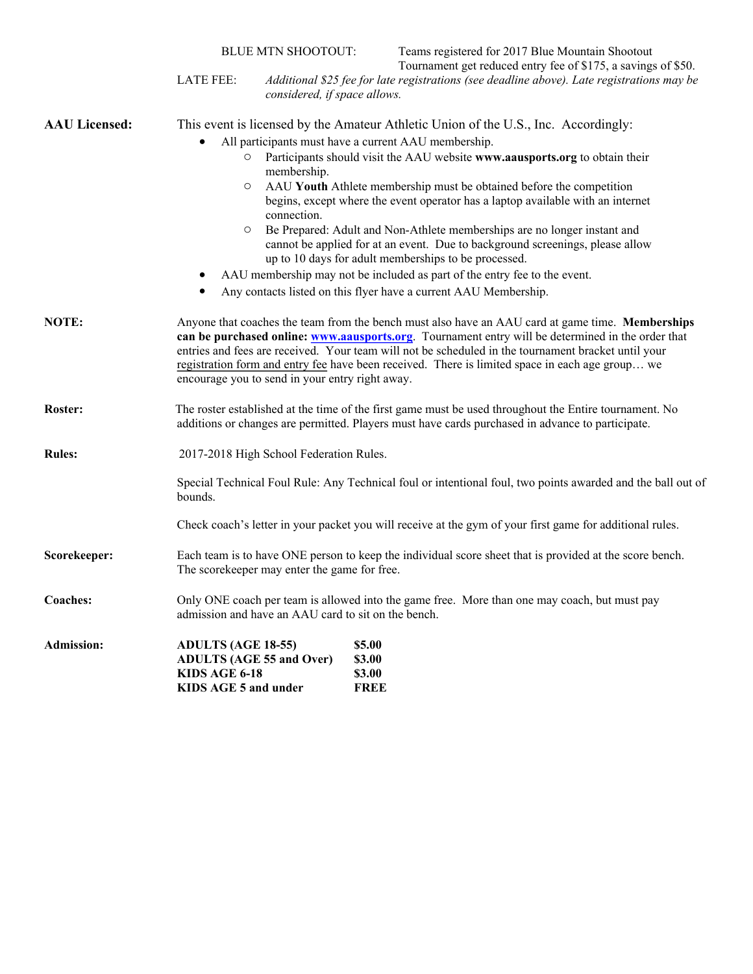|                      |                                                                                                                                                                                                                                                                                                                                                                                                                                                                    | <b>BLUE MTN SHOOTOUT:</b>                                                                                                                                                                                         | Teams registered for 2017 Blue Mountain Shootout<br>Tournament get reduced entry fee of \$175, a savings of \$50. |  |  |  |  |  |  |
|----------------------|--------------------------------------------------------------------------------------------------------------------------------------------------------------------------------------------------------------------------------------------------------------------------------------------------------------------------------------------------------------------------------------------------------------------------------------------------------------------|-------------------------------------------------------------------------------------------------------------------------------------------------------------------------------------------------------------------|-------------------------------------------------------------------------------------------------------------------|--|--|--|--|--|--|
|                      | <b>LATE FEE:</b><br>Additional \$25 fee for late registrations (see deadline above). Late registrations may be<br>considered, if space allows.                                                                                                                                                                                                                                                                                                                     |                                                                                                                                                                                                                   |                                                                                                                   |  |  |  |  |  |  |
| <b>AAU Licensed:</b> | This event is licensed by the Amateur Athletic Union of the U.S., Inc. Accordingly:                                                                                                                                                                                                                                                                                                                                                                                |                                                                                                                                                                                                                   |                                                                                                                   |  |  |  |  |  |  |
|                      |                                                                                                                                                                                                                                                                                                                                                                                                                                                                    | All participants must have a current AAU membership.                                                                                                                                                              |                                                                                                                   |  |  |  |  |  |  |
|                      | Participants should visit the AAU website www.aausports.org to obtain their<br>membership.                                                                                                                                                                                                                                                                                                                                                                         |                                                                                                                                                                                                                   |                                                                                                                   |  |  |  |  |  |  |
|                      | $\circ$                                                                                                                                                                                                                                                                                                                                                                                                                                                            | AAU Youth Athlete membership must be obtained before the competition<br>begins, except where the event operator has a laptop available with an internet<br>connection.                                            |                                                                                                                   |  |  |  |  |  |  |
|                      | O                                                                                                                                                                                                                                                                                                                                                                                                                                                                  | Be Prepared: Adult and Non-Athlete memberships are no longer instant and<br>cannot be applied for at an event. Due to background screenings, please allow<br>up to 10 days for adult memberships to be processed. |                                                                                                                   |  |  |  |  |  |  |
|                      |                                                                                                                                                                                                                                                                                                                                                                                                                                                                    | AAU membership may not be included as part of the entry fee to the event.                                                                                                                                         |                                                                                                                   |  |  |  |  |  |  |
|                      |                                                                                                                                                                                                                                                                                                                                                                                                                                                                    |                                                                                                                                                                                                                   | Any contacts listed on this flyer have a current AAU Membership.                                                  |  |  |  |  |  |  |
| NOTE:                | Anyone that coaches the team from the bench must also have an AAU card at game time. Memberships<br>can be purchased online: www.aausports.org. Tournament entry will be determined in the order that<br>entries and fees are received. Your team will not be scheduled in the tournament bracket until your<br>registration form and entry fee have been received. There is limited space in each age group we<br>encourage you to send in your entry right away. |                                                                                                                                                                                                                   |                                                                                                                   |  |  |  |  |  |  |
| Roster:              |                                                                                                                                                                                                                                                                                                                                                                                                                                                                    | The roster established at the time of the first game must be used throughout the Entire tournament. No<br>additions or changes are permitted. Players must have cards purchased in advance to participate.        |                                                                                                                   |  |  |  |  |  |  |
| <b>Rules:</b>        |                                                                                                                                                                                                                                                                                                                                                                                                                                                                    | 2017-2018 High School Federation Rules.                                                                                                                                                                           |                                                                                                                   |  |  |  |  |  |  |
|                      | Special Technical Foul Rule: Any Technical foul or intentional foul, two points awarded and the ball out of<br>bounds.                                                                                                                                                                                                                                                                                                                                             |                                                                                                                                                                                                                   |                                                                                                                   |  |  |  |  |  |  |
|                      | Check coach's letter in your packet you will receive at the gym of your first game for additional rules.                                                                                                                                                                                                                                                                                                                                                           |                                                                                                                                                                                                                   |                                                                                                                   |  |  |  |  |  |  |
| Scorekeeper:         | Each team is to have ONE person to keep the individual score sheet that is provided at the score bench.<br>The scorekeeper may enter the game for free.                                                                                                                                                                                                                                                                                                            |                                                                                                                                                                                                                   |                                                                                                                   |  |  |  |  |  |  |
| Coaches:             | Only ONE coach per team is allowed into the game free. More than one may coach, but must pay<br>admission and have an AAU card to sit on the bench.                                                                                                                                                                                                                                                                                                                |                                                                                                                                                                                                                   |                                                                                                                   |  |  |  |  |  |  |
| <b>Admission:</b>    | <b>ADULTS (AGE 18-55)</b><br><b>ADULTS (AGE 55 and Over)</b><br>KIDS AGE 6-18<br>KIDS AGE 5 and under                                                                                                                                                                                                                                                                                                                                                              |                                                                                                                                                                                                                   | \$5.00<br>\$3.00<br>\$3.00<br><b>FREE</b>                                                                         |  |  |  |  |  |  |